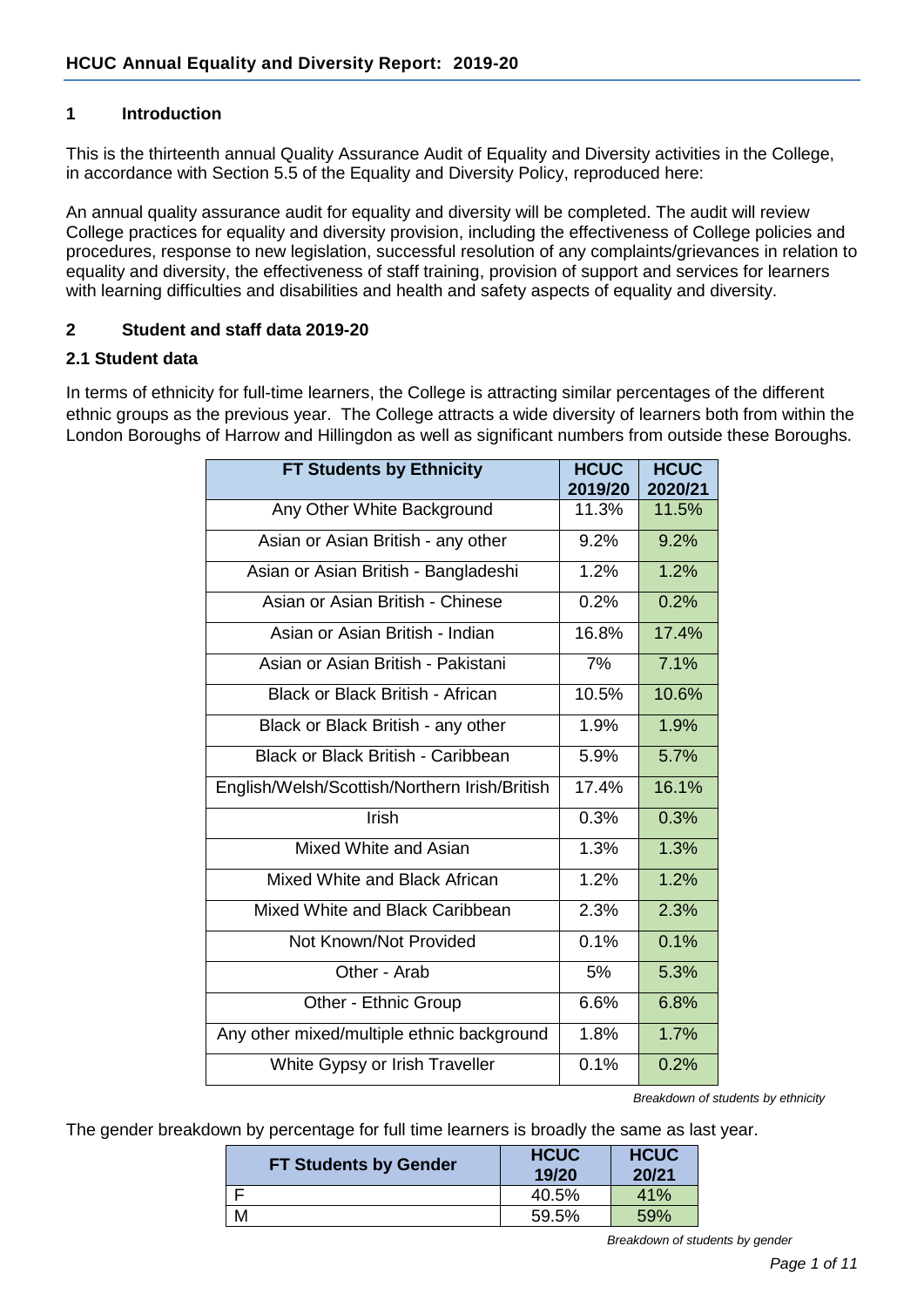### **1 Introduction**

This is the thirteenth annual Quality Assurance Audit of Equality and Diversity activities in the College, in accordance with Section 5.5 of the Equality and Diversity Policy, reproduced here:

An annual quality assurance audit for equality and diversity will be completed. The audit will review College practices for equality and diversity provision, including the effectiveness of College policies and procedures, response to new legislation, successful resolution of any complaints/grievances in relation to equality and diversity, the effectiveness of staff training, provision of support and services for learners with learning difficulties and disabilities and health and safety aspects of equality and diversity.

### **2 Student and staff data 2019-20**

#### **2.1 Student data**

In terms of ethnicity for full-time learners, the College is attracting similar percentages of the different ethnic groups as the previous year. The College attracts a wide diversity of learners both from within the London Boroughs of Harrow and Hillingdon as well as significant numbers from outside these Boroughs.

| <b>FT Students by Ethnicity</b>               | <b>HCUC</b><br>2019/20 | <b>HCUC</b><br>2020/21 |
|-----------------------------------------------|------------------------|------------------------|
| Any Other White Background                    | 11.3%                  | 11.5%                  |
| Asian or Asian British - any other            | 9.2%                   | 9.2%                   |
| Asian or Asian British - Bangladeshi          | 1.2%                   | 1.2%                   |
| Asian or Asian British - Chinese              | 0.2%                   | 0.2%                   |
| Asian or Asian British - Indian               | 16.8%                  | 17.4%                  |
| Asian or Asian British - Pakistani            | 7%                     | 7.1%                   |
| <b>Black or Black British - African</b>       | 10.5%                  | 10.6%                  |
| Black or Black British - any other            | 1.9%                   | 1.9%                   |
| Black or Black British - Caribbean            | 5.9%                   | 5.7%                   |
| English/Welsh/Scottish/Northern Irish/British | 17.4%                  | 16.1%                  |
| Irish                                         | 0.3%                   | 0.3%                   |
| Mixed White and Asian                         | 1.3%                   | 1.3%                   |
| Mixed White and Black African                 | 1.2%                   | 1.2%                   |
| Mixed White and Black Caribbean               | 2.3%                   | 2.3%                   |
| Not Known/Not Provided                        | 0.1%                   | 0.1%                   |
| Other - Arab                                  | 5%                     | 5.3%                   |
| Other - Ethnic Group                          | 6.6%                   | 6.8%                   |
| Any other mixed/multiple ethnic background    | 1.8%                   | 1.7%                   |
| White Gypsy or Irish Traveller                | 0.1%                   | 0.2%                   |

*Breakdown of students by ethnicity*

The gender breakdown by percentage for full time learners is broadly the same as last year.

| <b>FT Students by Gender</b> | <b>HCUC</b><br>19/20 | <b>HCUC</b><br>20/21 |  |
|------------------------------|----------------------|----------------------|--|
|                              | 40.5%                | 41%                  |  |
|                              | 59.5%                | 59%                  |  |

*Breakdown of students by gender*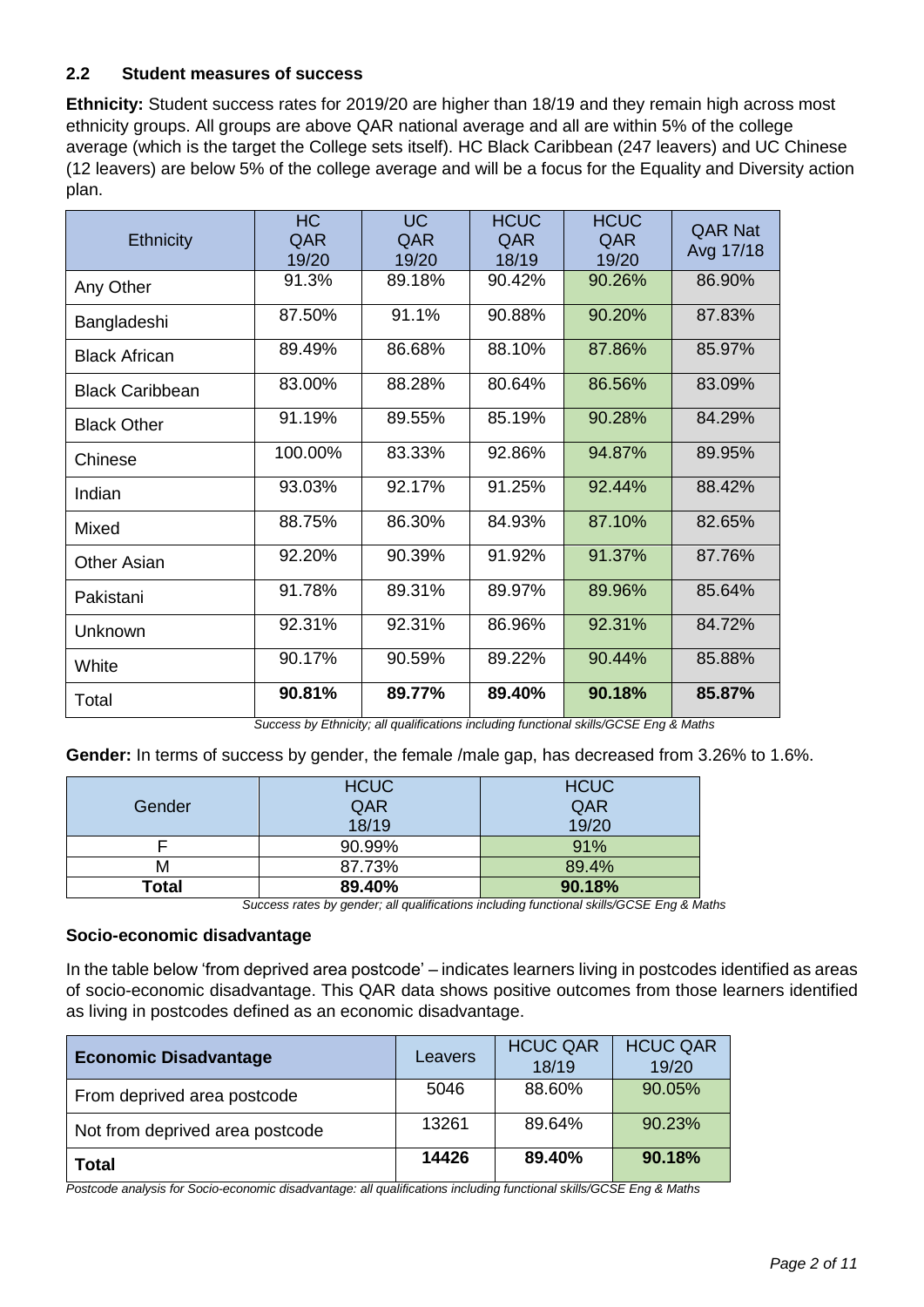## **2.2 Student measures of success**

**Ethnicity:** Student success rates for 2019/20 are higher than 18/19 and they remain high across most ethnicity groups. All groups are above QAR national average and all are within 5% of the college average (which is the target the College sets itself). HC Black Caribbean (247 leavers) and UC Chinese (12 leavers) are below 5% of the college average and will be a focus for the Equality and Diversity action plan.

| <b>Ethnicity</b>       | <b>HC</b><br>QAR<br>19/20 | <b>UC</b><br>QAR<br>19/20 | <b>HCUC</b><br>QAR<br>18/19 | <b>HCUC</b><br>QAR<br>19/20 | <b>QAR Nat</b><br>Avg 17/18 |
|------------------------|---------------------------|---------------------------|-----------------------------|-----------------------------|-----------------------------|
| Any Other              | 91.3%                     | 89.18%                    | 90.42%                      | 90.26%                      | 86.90%                      |
| Bangladeshi            | 87.50%                    | 91.1%                     | 90.88%                      | 90.20%                      | 87.83%                      |
| <b>Black African</b>   | 89.49%                    | 86.68%                    | 88.10%                      | 87.86%                      | 85.97%                      |
| <b>Black Caribbean</b> | 83.00%                    | 88.28%                    | 80.64%                      | 86.56%                      | 83.09%                      |
| <b>Black Other</b>     | 91.19%                    | 89.55%                    | 85.19%                      | 90.28%                      | 84.29%                      |
| Chinese                | 100.00%                   | 83.33%                    | 92.86%                      | 94.87%                      | 89.95%                      |
| Indian                 | 93.03%                    | 92.17%                    | 91.25%                      | 92.44%                      | 88.42%                      |
| Mixed                  | 88.75%                    | 86.30%                    | 84.93%                      | 87.10%                      | 82.65%                      |
| <b>Other Asian</b>     | 92.20%                    | 90.39%                    | 91.92%                      | 91.37%                      | 87.76%                      |
| Pakistani              | 91.78%                    | 89.31%                    | 89.97%                      | 89.96%                      | 85.64%                      |
| Unknown                | 92.31%                    | 92.31%                    | 86.96%                      | 92.31%                      | 84.72%                      |
| White                  | 90.17%                    | 90.59%                    | 89.22%                      | 90.44%                      | 85.88%                      |
| Total                  | 90.81%                    | 89.77%                    | 89.40%                      | 90.18%                      | 85.87%                      |

*Success by Ethnicity; all qualifications including functional skills/GCSE Eng & Maths*

**Gender:** In terms of success by gender, the female /male gap, has decreased from 3.26% to 1.6%.

|        | <b>HCUC</b> | <b>HCUC</b> |
|--------|-------------|-------------|
| Gender | QAR         | QAR         |
|        | 18/19       | 19/20       |
|        | 90.99%      | 91%         |
| M      | 87.73%      | 89.4%       |
| Total  | 89.40%      | 90.18%      |

*Success rates by gender; all qualifications including functional skills/GCSE Eng & Maths*

### **Socio-economic disadvantage**

In the table below 'from deprived area postcode' – indicates learners living in postcodes identified as areas of socio-economic disadvantage. This QAR data shows positive outcomes from those learners identified as living in postcodes defined as an economic disadvantage.

| <b>Economic Disadvantage</b>    | Leavers | <b>HCUC QAR</b><br>18/19 | <b>HCUC QAR</b><br>19/20 |
|---------------------------------|---------|--------------------------|--------------------------|
| From deprived area postcode     | 5046    | 88.60%                   | 90.05%                   |
| Not from deprived area postcode | 13261   | 89.64%                   | 90.23%                   |
| Total                           | 14426   | 89.40%                   | 90.18%                   |

*Postcode analysis for Socio-economic disadvantage: all qualifications including functional skills/GCSE Eng & Maths*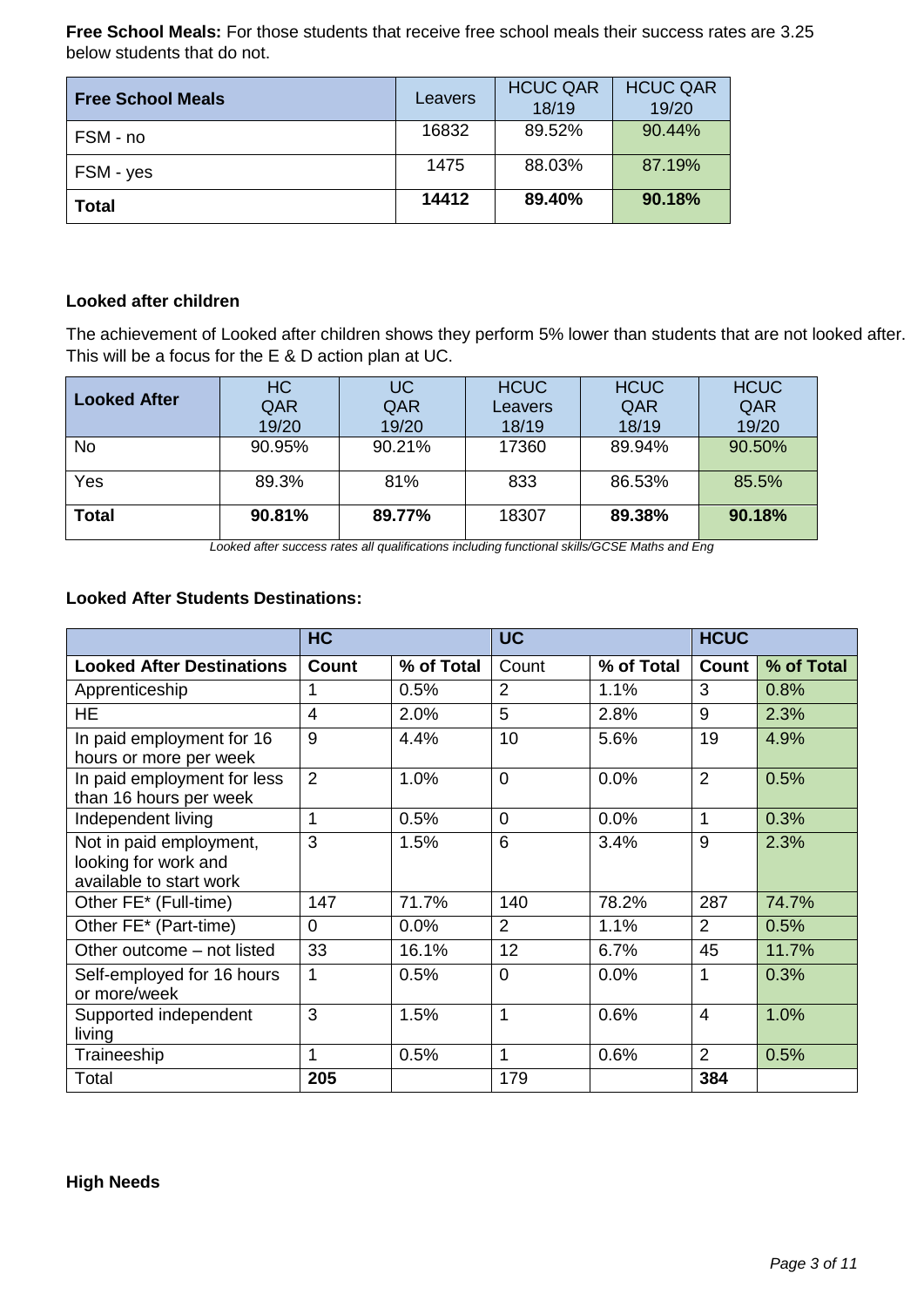**Free School Meals:** For those students that receive free school meals their success rates are 3.25 below students that do not.

| <b>Free School Meals</b> | Leavers | <b>HCUC QAR</b><br>18/19 | <b>HCUC QAR</b><br>19/20 |
|--------------------------|---------|--------------------------|--------------------------|
| FSM - no                 | 16832   | 89.52%                   | 90.44%                   |
| FSM - yes                | 1475    | 88.03%                   | 87.19%                   |
| <b>Total</b>             | 14412   | 89.40%                   | 90.18%                   |

### **Looked after children**

The achievement of Looked after children shows they perform 5% lower than students that are not looked after. This will be a focus for the E & D action plan at UC.

| <b>Looked After</b> | <b>HC</b><br>QAR<br>19/20 | UC/<br>QAR<br>19/20 | <b>HCUC</b><br>Leavers<br>18/19 | <b>HCUC</b><br>QAR<br>18/19 | <b>HCUC</b><br>QAR<br>19/20 |
|---------------------|---------------------------|---------------------|---------------------------------|-----------------------------|-----------------------------|
| <b>No</b>           | 90.95%                    | 90.21%              | 17360                           | 89.94%                      | 90.50%                      |
| Yes                 | 89.3%                     | 81%                 | 833                             | 86.53%                      | 85.5%                       |
| <b>Total</b>        | 90.81%                    | 89.77%              | 18307                           | 89.38%                      | 90.18%                      |

*Looked after success rates all qualifications including functional skills/GCSE Maths and Eng*

#### **Looked After Students Destinations:**

|                                                                            | <b>HC</b>   |            | <b>UC</b>      |            | <b>HCUC</b>        |            |
|----------------------------------------------------------------------------|-------------|------------|----------------|------------|--------------------|------------|
| <b>Looked After Destinations</b>                                           | Count       | % of Total | Count          | % of Total | Count <sup>1</sup> | % of Total |
| Apprenticeship                                                             |             | 0.5%       | $\overline{2}$ | 1.1%       | 3                  | 0.8%       |
| <b>HE</b>                                                                  | 4           | 2.0%       | 5              | 2.8%       | 9                  | 2.3%       |
| In paid employment for 16<br>hours or more per week                        | 9           | 4.4%       | 10             | 5.6%       | 19                 | 4.9%       |
| In paid employment for less<br>than 16 hours per week                      | 2           | 1.0%       | $\overline{0}$ | 0.0%       | $\overline{2}$     | 0.5%       |
| Independent living                                                         | 1           | 0.5%       | $\Omega$       | 0.0%       | 1                  | 0.3%       |
| Not in paid employment,<br>looking for work and<br>available to start work | 3           | 1.5%       | 6              | 3.4%       | 9                  | 2.3%       |
| Other FE* (Full-time)                                                      | 147         | 71.7%      | 140            | 78.2%      | 287                | 74.7%      |
| Other FE* (Part-time)                                                      | $\Omega$    | 0.0%       | 2              | 1.1%       | 2                  | 0.5%       |
| Other outcome – not listed                                                 | 33          | 16.1%      | 12             | 6.7%       | 45                 | 11.7%      |
| Self-employed for 16 hours<br>or more/week                                 | $\mathbf 1$ | 0.5%       | $\Omega$       | 0.0%       | 1                  | 0.3%       |
| Supported independent<br>living                                            | 3           | 1.5%       | 1              | 0.6%       | $\overline{4}$     | 1.0%       |
| Traineeship                                                                | 1           | 0.5%       | 1              | 0.6%       | $\overline{2}$     | 0.5%       |
| Total                                                                      | 205         |            | 179            |            | 384                |            |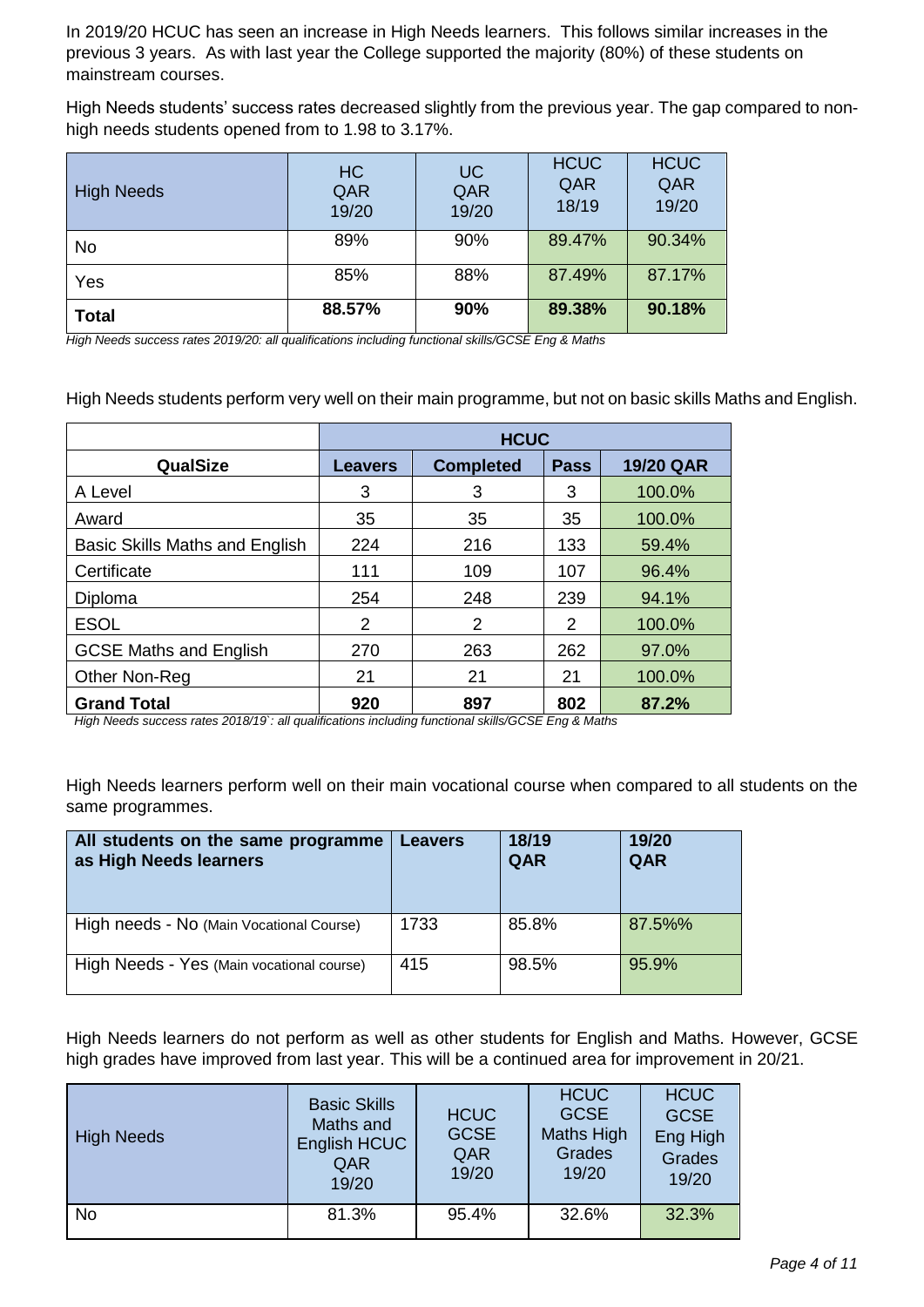In 2019/20 HCUC has seen an increase in High Needs learners. This follows similar increases in the previous 3 years. As with last year the College supported the majority (80%) of these students on mainstream courses.

High Needs students' success rates decreased slightly from the previous year. The gap compared to nonhigh needs students opened from to 1.98 to 3.17%.

| <b>High Needs</b> | <b>HC</b><br>QAR<br>19/20 | UC<br>QAR<br>19/20 | <b>HCUC</b><br>QAR<br>18/19 | <b>HCUC</b><br>QAR<br>19/20 |
|-------------------|---------------------------|--------------------|-----------------------------|-----------------------------|
| <b>No</b>         | 89%                       | 90%                | 89.47%                      | 90.34%                      |
| Yes               | 85%                       | 88%                | 87.49%                      | 87.17%                      |
| <b>Total</b>      | 88.57%                    | 90%                | 89.38%                      | 90.18%                      |

*High Needs success rates 2019/20: all qualifications including functional skills/GCSE Eng & Maths*

High Needs students perform very well on their main programme, but not on basic skills Maths and English.

|                                | <b>HCUC</b>                                                           |     |     |        |  |  |
|--------------------------------|-----------------------------------------------------------------------|-----|-----|--------|--|--|
| <b>QualSize</b>                | <b>19/20 QAR</b><br><b>Completed</b><br><b>Pass</b><br><b>Leavers</b> |     |     |        |  |  |
| A Level                        | 3                                                                     | 3   | 3   | 100.0% |  |  |
| Award                          | 35                                                                    | 35  | 35  | 100.0% |  |  |
| Basic Skills Maths and English | 224                                                                   | 216 | 133 | 59.4%  |  |  |
| Certificate                    | 111                                                                   | 109 | 107 | 96.4%  |  |  |
| Diploma                        | 254                                                                   | 248 | 239 | 94.1%  |  |  |
| <b>ESOL</b>                    | 2                                                                     | 2   | 2   | 100.0% |  |  |
| <b>GCSE Maths and English</b>  | 270                                                                   | 263 | 262 | 97.0%  |  |  |
| Other Non-Reg                  | 21                                                                    | 21  | 21  | 100.0% |  |  |
| <b>Grand Total</b>             | 920                                                                   | 897 | 802 | 87.2%  |  |  |

*High Needs success rates 2018/19`: all qualifications including functional skills/GCSE Eng & Maths*

High Needs learners perform well on their main vocational course when compared to all students on the same programmes.

| All students on the same programme<br>as High Needs learners | <b>Leavers</b> | 18/19<br>QAR | 19/20<br>QAR |
|--------------------------------------------------------------|----------------|--------------|--------------|
| High needs - No (Main Vocational Course)                     | 1733           | 85.8%        | 87.5%%       |
| High Needs - Yes (Main vocational course)                    | 415            | 98.5%        | 95.9%        |

High Needs learners do not perform as well as other students for English and Maths. However, GCSE high grades have improved from last year. This will be a continued area for improvement in 20/21.

| <b>High Needs</b> | <b>Basic Skills</b><br>Maths and<br>English HCUC<br>QAR<br>19/20 | <b>HCUC</b><br><b>GCSE</b><br>QAR<br>19/20 | <b>HCUC</b><br><b>GCSE</b><br>Maths High<br>Grades<br>19/20 | <b>HCUC</b><br><b>GCSE</b><br>Eng High<br>Grades<br>19/20 |
|-------------------|------------------------------------------------------------------|--------------------------------------------|-------------------------------------------------------------|-----------------------------------------------------------|
| <b>No</b>         | 81.3%                                                            | 95.4%                                      | 32.6%                                                       | 32.3%                                                     |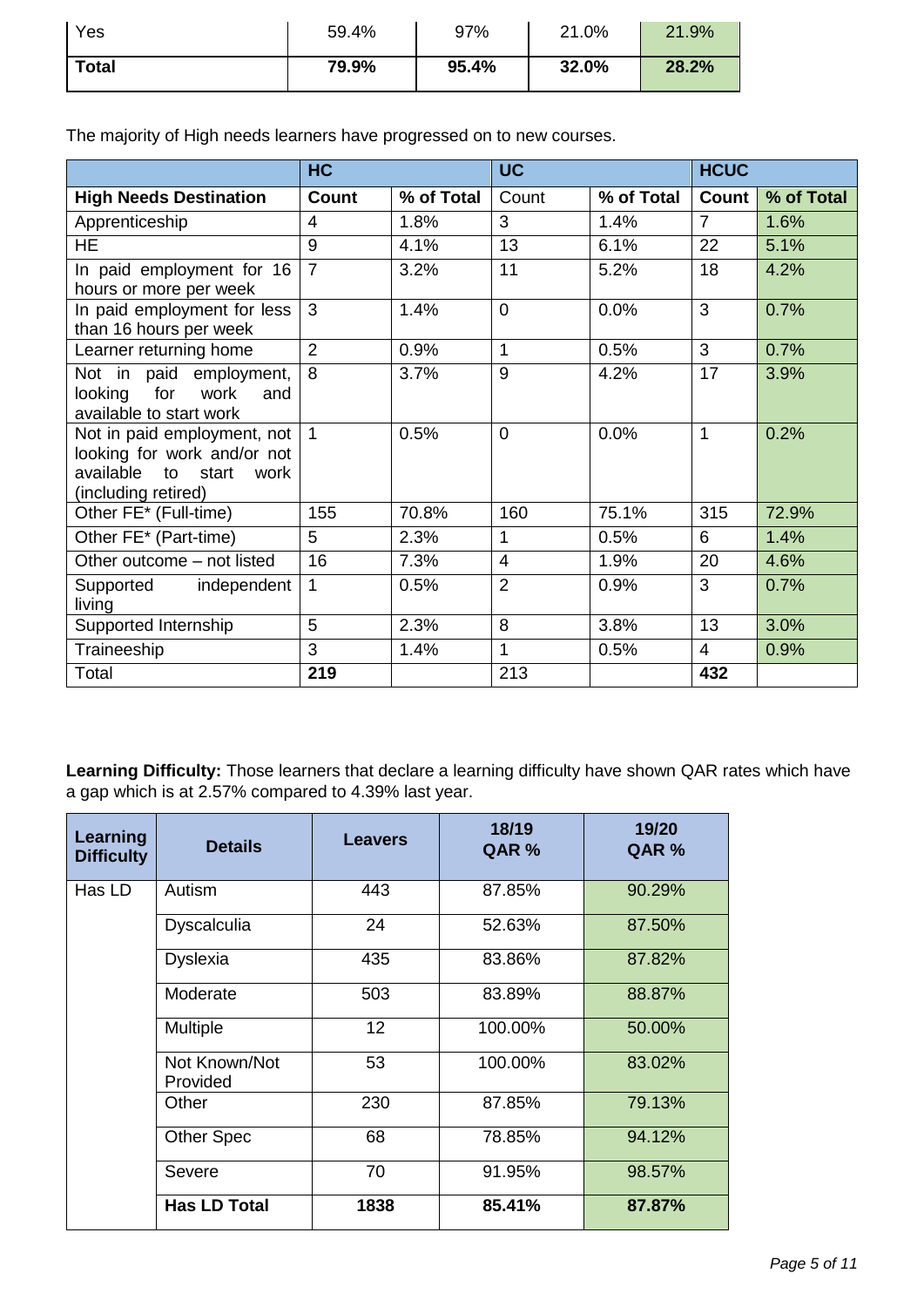| Yes          | 59.4% | 97%   | 21.0% | 21.9% |
|--------------|-------|-------|-------|-------|
| <b>Total</b> | 79.9% | 95.4% | 32.0% | 28.2% |

The majority of High needs learners have progressed on to new courses.

|                                                                                                                 | <b>HC</b>      |            | <b>UC</b>      |            | <b>HCUC</b>    |            |
|-----------------------------------------------------------------------------------------------------------------|----------------|------------|----------------|------------|----------------|------------|
| <b>High Needs Destination</b>                                                                                   | <b>Count</b>   | % of Total | Count          | % of Total | Count          | % of Total |
| Apprenticeship                                                                                                  | 4              | 1.8%       | 3              | 1.4%       | $\overline{7}$ | 1.6%       |
| HE.                                                                                                             | 9              | 4.1%       | 13             | 6.1%       | 22             | 5.1%       |
| In paid employment for 16<br>hours or more per week                                                             | $\overline{7}$ | 3.2%       | 11             | 5.2%       | 18             | 4.2%       |
| In paid employment for less<br>than 16 hours per week                                                           | 3              | 1.4%       | $\overline{0}$ | 0.0%       | 3              | 0.7%       |
| Learner returning home                                                                                          | $\overline{2}$ | 0.9%       | 1              | 0.5%       | 3              | 0.7%       |
| Not in paid employment,<br>looking for<br>work<br>and<br>available to start work                                | 8              | 3.7%       | 9              | 4.2%       | 17             | 3.9%       |
| Not in paid employment, not<br>looking for work and/or not<br>available to start<br>work<br>(including retired) | $\mathbf{1}$   | 0.5%       | $\overline{0}$ | 0.0%       | $\mathbf{1}$   | 0.2%       |
| Other FE* (Full-time)                                                                                           | 155            | 70.8%      | 160            | 75.1%      | 315            | 72.9%      |
| Other FE* (Part-time)                                                                                           | 5              | 2.3%       | 1              | 0.5%       | 6              | 1.4%       |
| Other outcome - not listed                                                                                      | 16             | 7.3%       | $\overline{4}$ | 1.9%       | 20             | 4.6%       |
| independent<br>Supported<br>living                                                                              | $\mathbf 1$    | 0.5%       | $\overline{2}$ | 0.9%       | 3              | 0.7%       |
| Supported Internship                                                                                            | 5              | 2.3%       | 8              | 3.8%       | 13             | 3.0%       |
| Traineeship                                                                                                     | 3              | 1.4%       | 1              | 0.5%       | 4              | 0.9%       |
| Total                                                                                                           | 219            |            | 213            |            | 432            |            |

**Learning Difficulty:** Those learners that declare a learning difficulty have shown QAR rates which have a gap which is at 2.57% compared to 4.39% last year.

| Learning<br><b>Difficulty</b> | <b>Details</b>            | <b>Leavers</b> | 18/19<br>QAR % | 19/20<br>QAR % |
|-------------------------------|---------------------------|----------------|----------------|----------------|
| Has LD                        | Autism                    | 443            | 87.85%         | 90.29%         |
|                               | <b>Dyscalculia</b>        | 24             | 52.63%         | 87.50%         |
|                               | <b>Dyslexia</b>           | 435            | 83.86%         | 87.82%         |
|                               | Moderate                  | 503            | 83.89%         | 88.87%         |
|                               | <b>Multiple</b>           | 12             | 100.00%        | 50.00%         |
|                               | Not Known/Not<br>Provided | 53             | 100.00%        | 83.02%         |
|                               | Other                     | 230            | 87.85%         | 79.13%         |
|                               | <b>Other Spec</b>         | 68             | 78.85%         | 94.12%         |
|                               | Severe                    | 70             | 91.95%         | 98.57%         |
|                               | <b>Has LD Total</b>       | 1838           | 85.41%         | 87.87%         |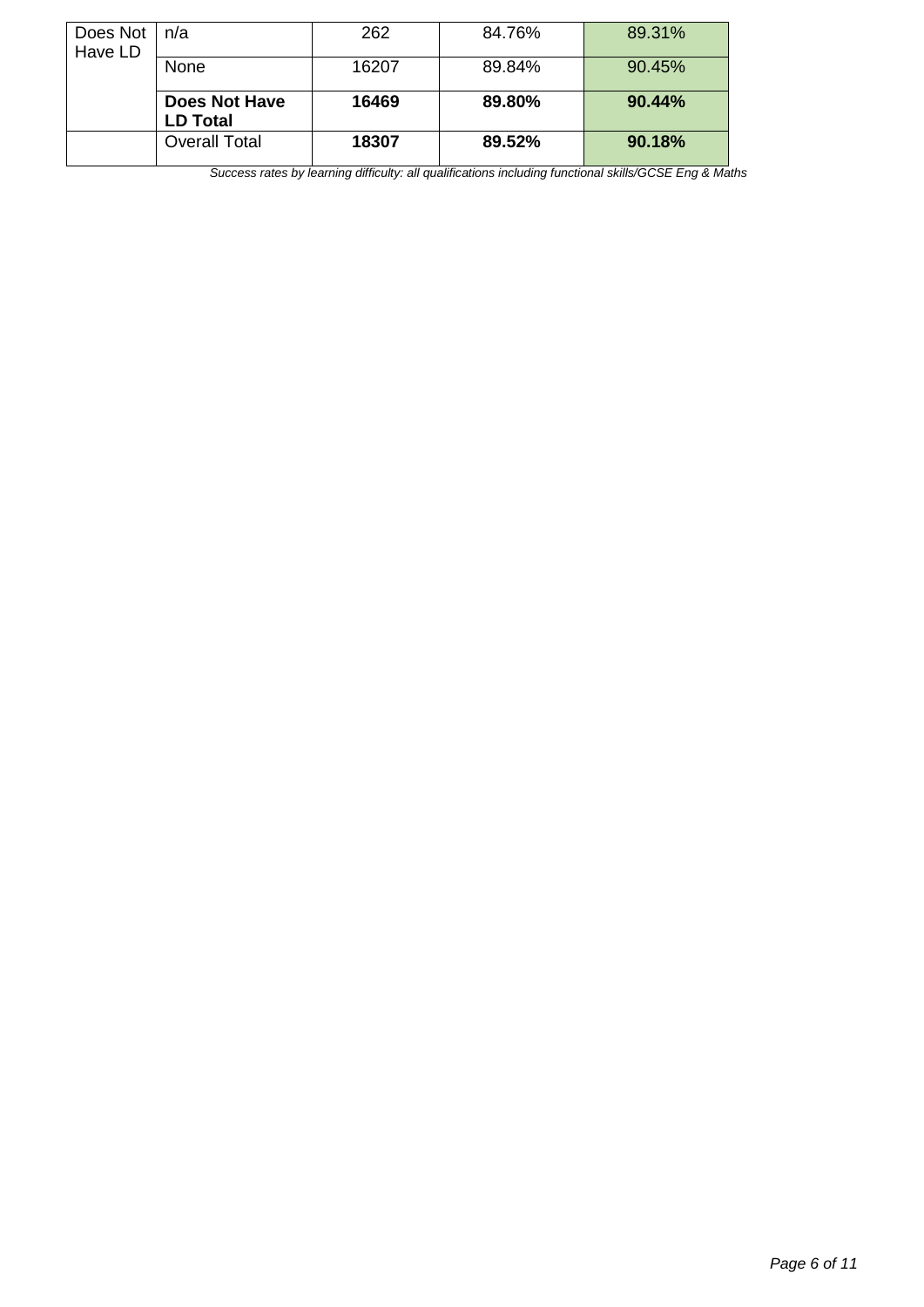| Does Not<br>Have LD | n/a                                     | 262   | 84.76% | 89.31% |
|---------------------|-----------------------------------------|-------|--------|--------|
|                     | None                                    | 16207 | 89.84% | 90.45% |
|                     | <b>Does Not Have</b><br><b>LD Total</b> | 16469 | 89.80% | 90.44% |
|                     | Overall Total                           | 18307 | 89.52% | 90.18% |

*Success rates by learning difficulty: all qualifications including functional skills/GCSE Eng & Maths*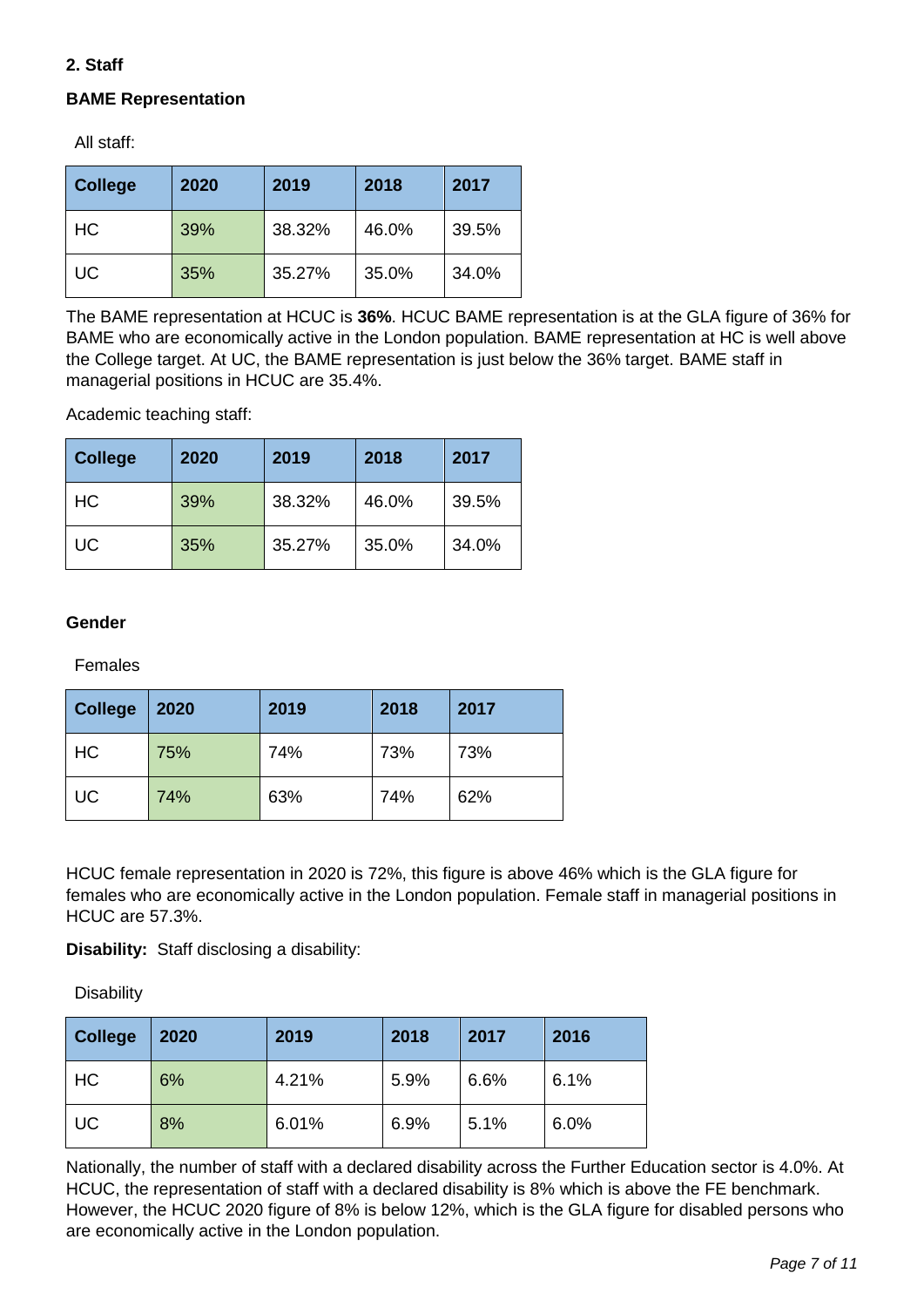# **2. Staff**

# **BAME Representation**

All staff:

| <b>College</b> | 2020 | 2019   | 2018  | 2017  |
|----------------|------|--------|-------|-------|
| <b>HC</b>      | 39%  | 38.32% | 46.0% | 39.5% |
| <b>UC</b>      | 35%  | 35.27% | 35.0% | 34.0% |

The BAME representation at HCUC is **36%**. HCUC BAME representation is at the GLA figure of 36% for BAME who are economically active in the London population. BAME representation at HC is well above the College target. At UC, the BAME representation is just below the 36% target. BAME staff in managerial positions in HCUC are 35.4%.

Academic teaching staff:

| <b>College</b> | 2020 | 2019   | 2018  | 2017  |
|----------------|------|--------|-------|-------|
| <b>HC</b>      | 39%  | 38.32% | 46.0% | 39.5% |
| UC             | 35%  | 35.27% | 35.0% | 34.0% |

### **Gender**

Females

| <b>College</b> | 2020 | 2019 | 2018 | 2017 |
|----------------|------|------|------|------|
| HC             | 75%  | 74%  | 73%  | 73%  |
| <b>UC</b>      | 74%  | 63%  | 74%  | 62%  |

HCUC female representation in 2020 is 72%, this figure is above 46% which is the GLA figure for females who are economically active in the London population. Female staff in managerial positions in HCUC are 57.3%.

**Disability:** Staff disclosing a disability:

**Disability** 

| <b>College</b> | 2020 | 2019  | 2018 | 2017 | 2016 |
|----------------|------|-------|------|------|------|
| HC             | 6%   | 4.21% | 5.9% | 6.6% | 6.1% |
| <b>UC</b>      | 8%   | 6.01% | 6.9% | 5.1% | 6.0% |

Nationally, the number of staff with a declared disability across the Further Education sector is 4.0%. At HCUC, the representation of staff with a declared disability is 8% which is above the FE benchmark. However, the HCUC 2020 figure of 8% is below 12%, which is the GLA figure for disabled persons who are economically active in the London population.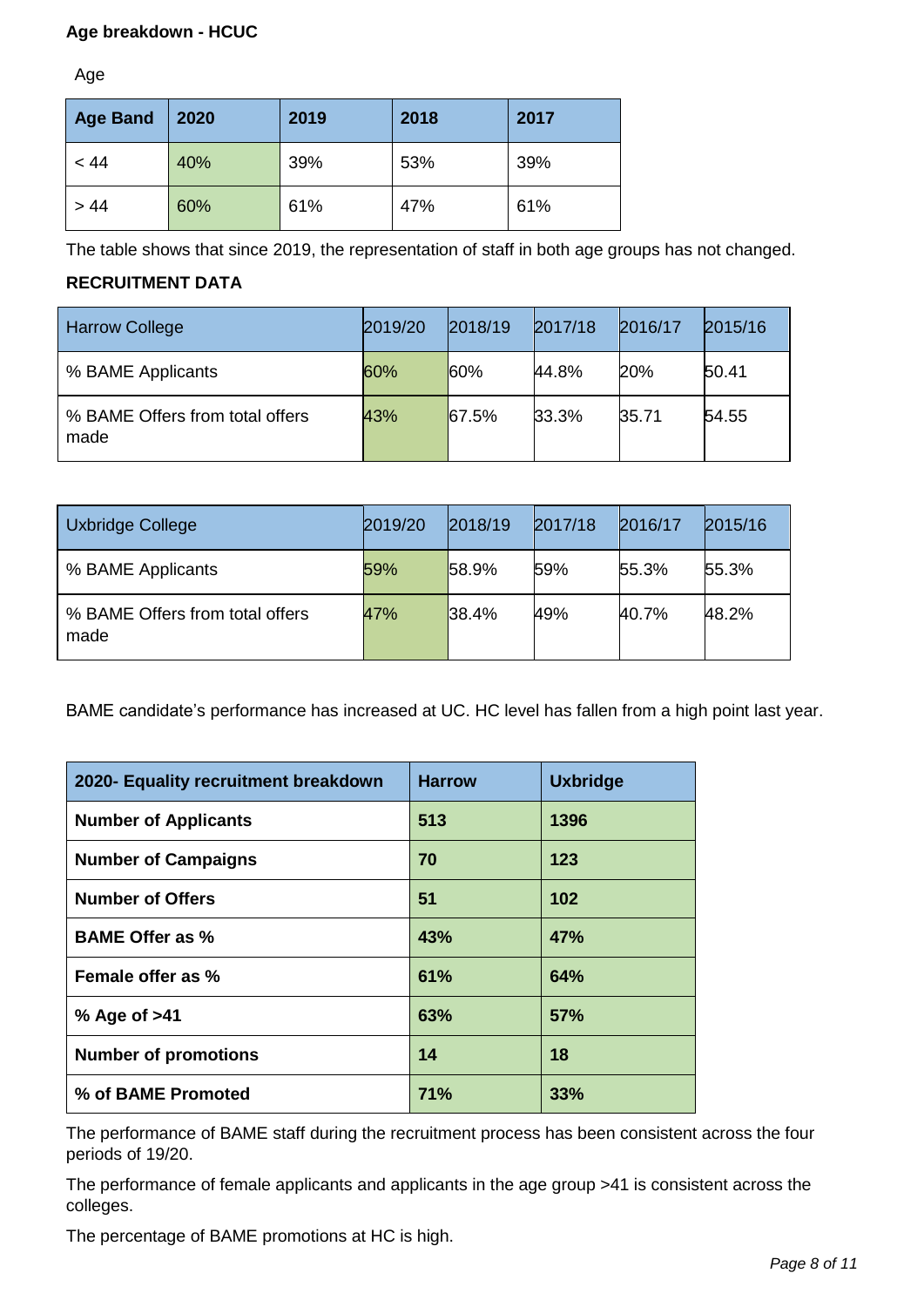## **Age breakdown - HCUC**

Age

| <b>Age Band</b> | 2020 | 2019 | 2018 | 2017 |
|-----------------|------|------|------|------|
| < 44            | 40%  | 39%  | 53%  | 39%  |
| > 44            | 60%  | 61%  | 47%  | 61%  |

The table shows that since 2019, the representation of staff in both age groups has not changed.

# **RECRUITMENT DATA**

| <b>Harrow College</b>                   | 2019/20 | 2018/19 | 2017/18 | 2016/17 | 2015/16 |
|-----------------------------------------|---------|---------|---------|---------|---------|
| % BAME Applicants                       | 60%     | 60%     | 44.8%   | 20%     | 50.41   |
| % BAME Offers from total offers<br>made | 43%     | 67.5%   | 33.3%   | 35.71   | 54.55   |

| Uxbridge College                        | 2019/20 | 2018/19 | 2017/18 | 2016/17 | 2015/16 |
|-----------------------------------------|---------|---------|---------|---------|---------|
| % BAME Applicants                       | 59%     | 58.9%   | 59%     | 55.3%   | 55.3%   |
| % BAME Offers from total offers<br>made | 47%     | 38.4%   | 49%     | 40.7%   | 48.2%   |

BAME candidate's performance has increased at UC. HC level has fallen from a high point last year.

| 2020- Equality recruitment breakdown | <b>Harrow</b> | <b>Uxbridge</b> |
|--------------------------------------|---------------|-----------------|
| <b>Number of Applicants</b>          | 513           | 1396            |
| <b>Number of Campaigns</b>           | 70            | 123             |
| <b>Number of Offers</b>              | 51            | 102             |
| <b>BAME Offer as %</b>               | 43%           | <b>47%</b>      |
| Female offer as %                    | 61%           | 64%             |
| % Age of >41                         | 63%           | <b>57%</b>      |
| <b>Number of promotions</b>          | 14            | 18              |
| % of BAME Promoted                   | <b>71%</b>    | 33%             |

The performance of BAME staff during the recruitment process has been consistent across the four periods of 19/20.

The performance of female applicants and applicants in the age group >41 is consistent across the colleges.

The percentage of BAME promotions at HC is high.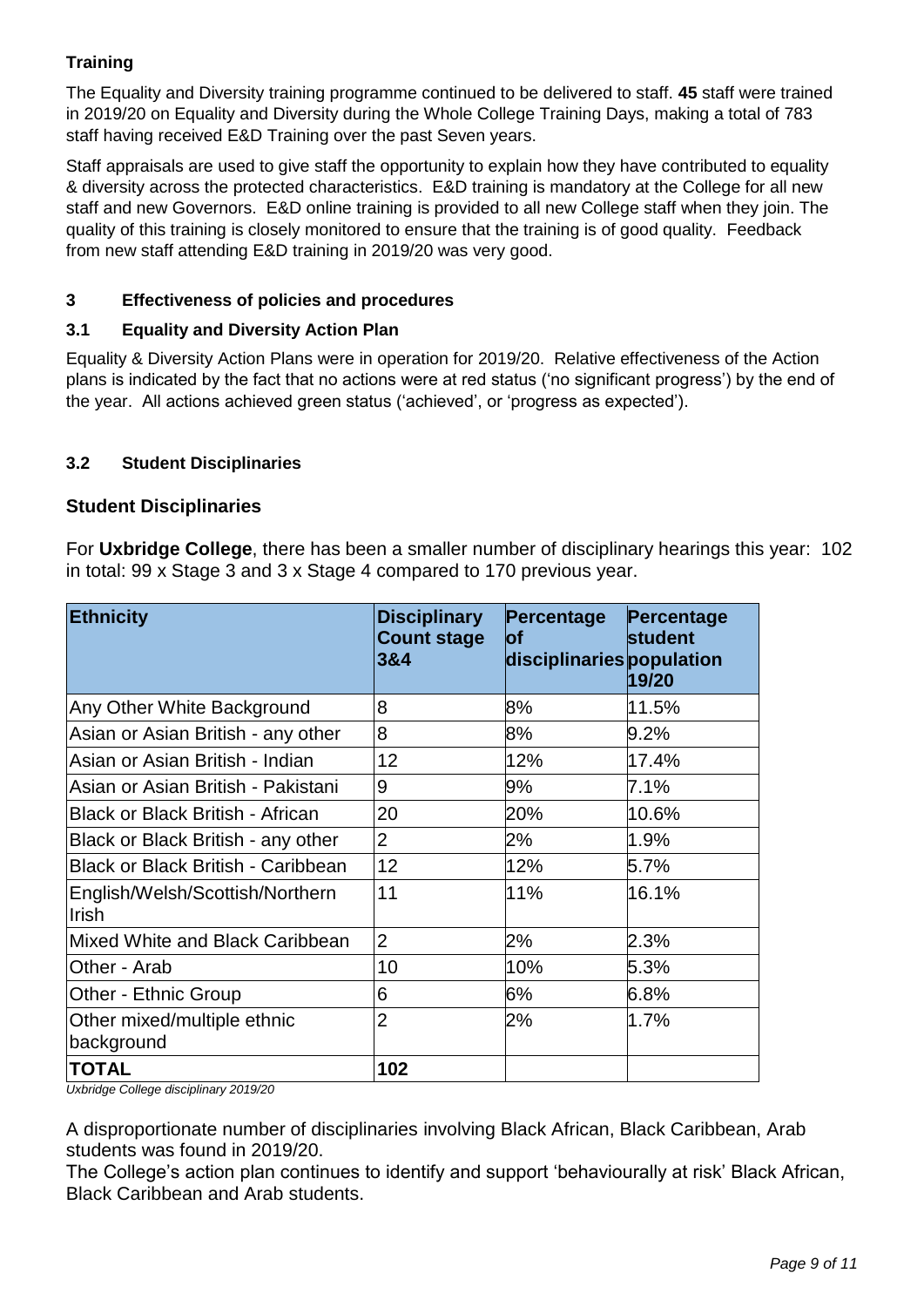# **Training**

The Equality and Diversity training programme continued to be delivered to staff. **45** staff were trained in 2019/20 on Equality and Diversity during the Whole College Training Days, making a total of 783 staff having received E&D Training over the past Seven years.

Staff appraisals are used to give staff the opportunity to explain how they have contributed to equality & diversity across the protected characteristics. E&D training is mandatory at the College for all new staff and new Governors. E&D online training is provided to all new College staff when they join. The quality of this training is closely monitored to ensure that the training is of good quality. Feedback from new staff attending E&D training in 2019/20 was very good.

## **3 Effectiveness of policies and procedures**

## **3.1 Equality and Diversity Action Plan**

Equality & Diversity Action Plans were in operation for 2019/20. Relative effectiveness of the Action plans is indicated by the fact that no actions were at red status ('no significant progress') by the end of the year. All actions achieved green status ('achieved', or 'progress as expected').

## **3.2 Student Disciplinaries**

## **Student Disciplinaries**

For **Uxbridge College**, there has been a smaller number of disciplinary hearings this year: 102 in total: 99 x Stage 3 and 3 x Stage 4 compared to 170 previous year.

| <b>Ethnicity</b>                                | <b>Disciplinary</b><br><b>Count stage</b><br>3&4 | Percentage<br>lof<br>disciplinaries population | Percentage<br>student<br>19/20 |
|-------------------------------------------------|--------------------------------------------------|------------------------------------------------|--------------------------------|
| Any Other White Background                      | 8                                                | 8%                                             | 11.5%                          |
| Asian or Asian British - any other              | 8                                                | 8%                                             | 9.2%                           |
| Asian or Asian British - Indian                 | 12                                               | 12%                                            | 17.4%                          |
| Asian or Asian British - Pakistani              | 9                                                | 9%                                             | 7.1%                           |
| <b>Black or Black British - African</b>         | 20                                               | 20%                                            | 10.6%                          |
| Black or Black British - any other              | $\overline{2}$                                   | 2%                                             | 1.9%                           |
| <b>Black or Black British - Caribbean</b>       | 12                                               | 12%                                            | 5.7%                           |
| English/Welsh/Scottish/Northern<br><b>Irish</b> | 11                                               | 11%                                            | 16.1%                          |
| Mixed White and Black Caribbean                 | $\overline{2}$                                   | 2%                                             | 2.3%                           |
| Other - Arab                                    | 10                                               | 10%                                            | 5.3%                           |
| <b>Other - Ethnic Group</b>                     | 6                                                | 6%                                             | 6.8%                           |
| Other mixed/multiple ethnic<br>background       | $\overline{2}$                                   | 2%                                             | 1.7%                           |
| <b>TOTAL</b><br>$\cdots$ $\cdots$               | 102                                              |                                                |                                |

*Uxbridge College disciplinary 2019/20*

A disproportionate number of disciplinaries involving Black African, Black Caribbean, Arab students was found in 2019/20.

The College's action plan continues to identify and support 'behaviourally at risk' Black African, Black Caribbean and Arab students.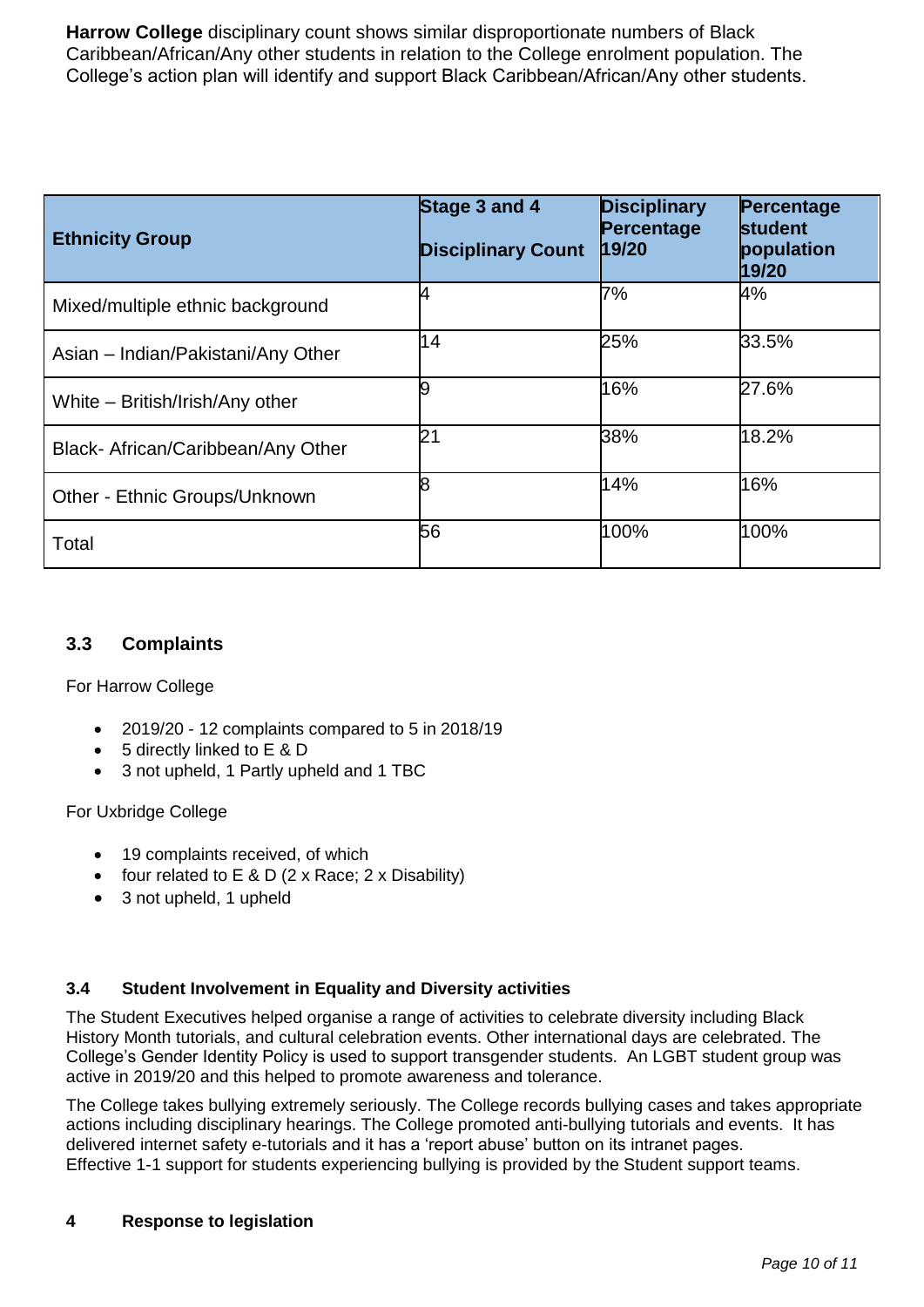**Harrow College** disciplinary count shows similar disproportionate numbers of Black Caribbean/African/Any other students in relation to the College enrolment population. The College's action plan will identify and support Black Caribbean/African/Any other students.

| <b>Ethnicity Group</b>             | Stage 3 and 4<br><b>Disciplinary Count</b> | <b>Disciplinary</b><br>Percentage<br>19/20 | Percentage<br><b>student</b><br>population<br>19/20 |
|------------------------------------|--------------------------------------------|--------------------------------------------|-----------------------------------------------------|
| Mixed/multiple ethnic background   | 4                                          | 7%                                         | 4%                                                  |
| Asian - Indian/Pakistani/Any Other | 14                                         | 25%                                        | 33.5%                                               |
| White - British/Irish/Any other    | 9                                          | 16%                                        | 27.6%                                               |
| Black- African/Caribbean/Any Other | 21                                         | 38%                                        | 18.2%                                               |
| Other - Ethnic Groups/Unknown      | 8                                          | 14%                                        | 16%                                                 |
| Total                              | 56                                         | 100%                                       | 100%                                                |

## **3.3 Complaints**

For Harrow College

- 2019/20 12 complaints compared to 5 in 2018/19
- 5 directly linked to E & D
- 3 not upheld, 1 Partly upheld and 1 TBC

### For Uxbridge College

- 19 complaints received, of which
- four related to  $E \& D$  (2 x Race: 2 x Disability)
- 3 not upheld, 1 upheld

### **3.4 Student Involvement in Equality and Diversity activities**

The Student Executives helped organise a range of activities to celebrate diversity including Black History Month tutorials, and cultural celebration events. Other international days are celebrated. The College's Gender Identity Policy is used to support transgender students. An LGBT student group was active in 2019/20 and this helped to promote awareness and tolerance.

The College takes bullying extremely seriously. The College records bullying cases and takes appropriate actions including disciplinary hearings. The College promoted anti-bullying tutorials and events. It has delivered internet safety e-tutorials and it has a 'report abuse' button on its intranet pages. Effective 1-1 support for students experiencing bullying is provided by the Student support teams.